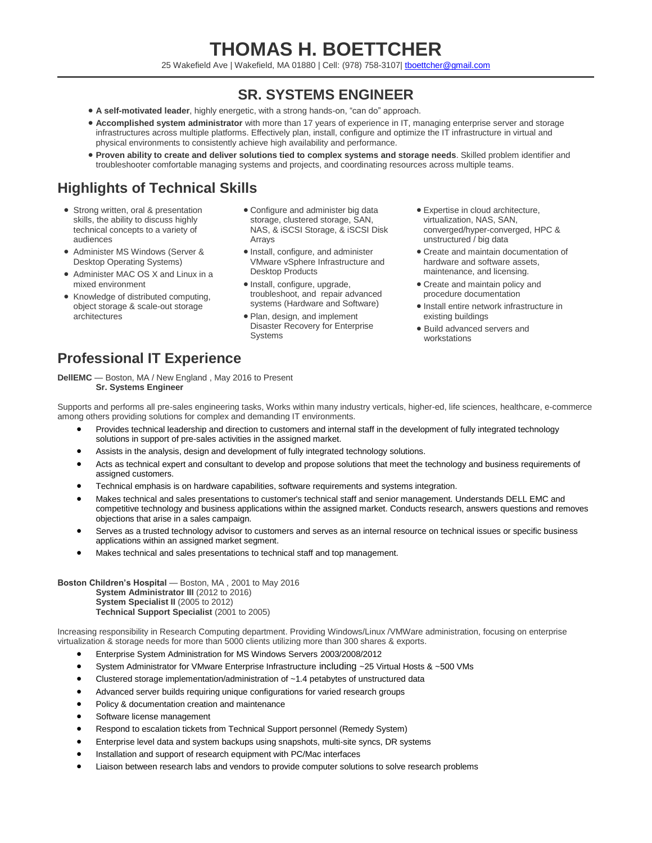# **THOMAS H. BOETTCHER**

25 Wakefield Ave | Wakefield, MA 01880 | Cell: (978) 758-3107[| tboettcher@gmail.com](mailto:tboettcher@gmail.com)

### **SR. SYSTEMS ENGINEER**

- **A self-motivated leader**, highly energetic, with a strong hands-on, "can do" approach.
- **Accomplished system administrator** with more than 17 years of experience in IT, managing enterprise server and storage infrastructures across multiple platforms. Effectively plan, install, configure and optimize the IT infrastructure in virtual and physical environments to consistently achieve high availability and performance.
- **Proven ability to create and deliver solutions tied to complex systems and storage needs**. Skilled problem identifier and troubleshooter comfortable managing systems and projects, and coordinating resources across multiple teams.

## **Highlights of Technical Skills**

- Strong written, oral & presentation skills, the ability to discuss highly technical concepts to a variety of audiences
- Administer MS Windows (Server & Desktop Operating Systems)
- Administer MAC OS X and Linux in a mixed environment
- Knowledge of distributed computing, object storage & scale-out storage architectures
- Configure and administer big data storage, clustered storage, SAN, NAS, & iSCSI Storage, & iSCSI Disk Arrays
- Install, configure, and administer VMware vSphere Infrastructure and Desktop Products
- Install, configure, upgrade, troubleshoot, and repair advanced systems (Hardware and Software)
- Plan, design, and implement Disaster Recovery for Enterprise **Systems**
- Expertise in cloud architecture, virtualization, NAS, SAN, converged/hyper-converged, HPC & unstructured / big data
- Create and maintain documentation of hardware and software assets, maintenance, and licensing.
- Create and maintain policy and procedure documentation
- Install entire network infrastructure in existing buildings
- Build advanced servers and workstations

### **Professional IT Experience**

**DellEMC** — Boston, MA / New England , May 2016 to Present **Sr. Systems Engineer**

Supports and performs all pre-sales engineering tasks, Works within many industry verticals, higher-ed, life sciences, healthcare, e-commerce among others providing solutions for complex and demanding IT environments.

- Provides technical leadership and direction to customers and internal staff in the development of fully integrated technology solutions in support of pre-sales activities in the assigned market.
- Assists in the analysis, design and development of fully integrated technology solutions.
- Acts as technical expert and consultant to develop and propose solutions that meet the technology and business requirements of assigned customers.
- Technical emphasis is on hardware capabilities, software requirements and systems integration.
- Makes technical and sales presentations to customer's technical staff and senior management. Understands DELL EMC and competitive technology and business applications within the assigned market. Conducts research, answers questions and removes objections that arise in a sales campaign.
- Serves as a trusted technology advisor to customers and serves as an internal resource on technical issues or specific business applications within an assigned market segment.
- Makes technical and sales presentations to technical staff and top management.

**Boston Children's Hospital** — Boston, MA , 2001 to May 2016 **System Administrator III** (2012 to 2016) **System Specialist II** (2005 to 2012) **Technical Support Specialist** (2001 to 2005)

Increasing responsibility in Research Computing department. Providing Windows/Linux /VMWare administration, focusing on enterprise virtualization & storage needs for more than 5000 clients utilizing more than 300 shares & exports.

- Enterprise System Administration for MS Windows Servers 2003/2008/2012
- System Administrator for VMware Enterprise Infrastructure including ~25 Virtual Hosts & ~500 VMs
- Clustered storage implementation/administration of ~1.4 petabytes of unstructured data
- Advanced server builds requiring unique configurations for varied research groups
- Policy & documentation creation and maintenance
- Software license management
- Respond to escalation tickets from Technical Support personnel (Remedy System)
- Enterprise level data and system backups using snapshots, multi-site syncs, DR systems
- Installation and support of research equipment with PC/Mac interfaces
- Liaison between research labs and vendors to provide computer solutions to solve research problems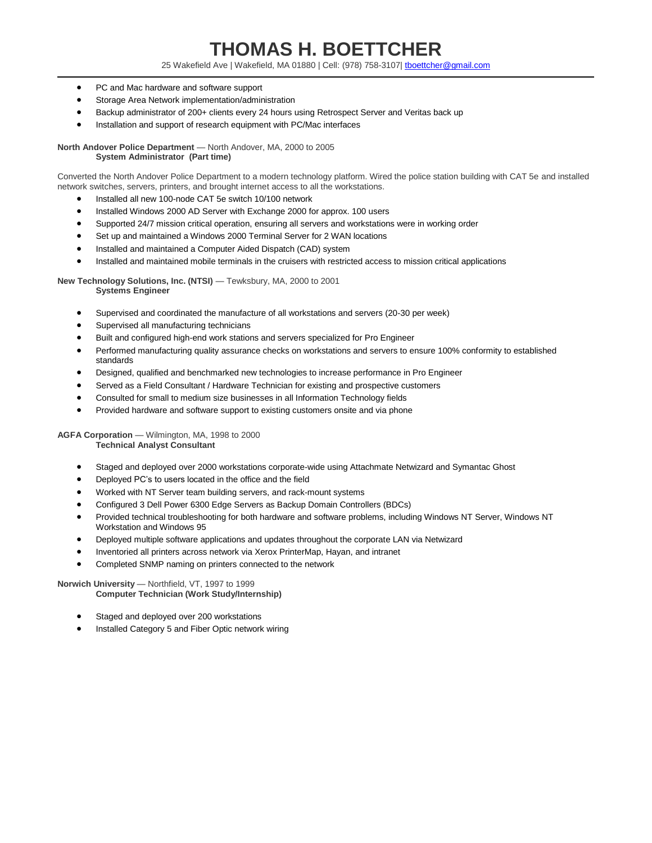# **THOMAS H. BOETTCHER**

25 Wakefield Ave | Wakefield, MA 01880 | Cell: (978) 758-3107[| tboettcher@gmail.com](mailto:tboettcher@gmail.com)

- PC and Mac hardware and software support
- Storage Area Network implementation/administration
- Backup administrator of 200+ clients every 24 hours using Retrospect Server and Veritas back up
- Installation and support of research equipment with PC/Mac interfaces

**North Andover Police Department** — North Andover, MA, 2000 to 2005 **System Administrator (Part time)**

Converted the North Andover Police Department to a modern technology platform. Wired the police station building with CAT 5e and installed network switches, servers, printers, and brought internet access to all the workstations.

- Installed all new 100-node CAT 5e switch 10/100 network
- Installed Windows 2000 AD Server with Exchange 2000 for approx. 100 users
- Supported 24/7 mission critical operation, ensuring all servers and workstations were in working order
- Set up and maintained a Windows 2000 Terminal Server for 2 WAN locations
- Installed and maintained a Computer Aided Dispatch (CAD) system
- Installed and maintained mobile terminals in the cruisers with restricted access to mission critical applications

**New Technology Solutions, Inc. (NTSI)** — Tewksbury, MA, 2000 to 2001 **Systems Engineer**

- Supervised and coordinated the manufacture of all workstations and servers (20-30 per week)
- Supervised all manufacturing technicians
- Built and configured high-end work stations and servers specialized for Pro Engineer
- Performed manufacturing quality assurance checks on workstations and servers to ensure 100% conformity to established standards
- Designed, qualified and benchmarked new technologies to increase performance in Pro Engineer
- Served as a Field Consultant / Hardware Technician for existing and prospective customers
- Consulted for small to medium size businesses in all Information Technology fields
- Provided hardware and software support to existing customers onsite and via phone

**AGFA Corporation** — Wilmington, MA, 1998 to 2000

**Technical Analyst Consultant**

- Staged and deployed over 2000 workstations corporate-wide using Attachmate Netwizard and Symantac Ghost
- Deployed PC's to users located in the office and the field
- Worked with NT Server team building servers, and rack-mount systems
- Configured 3 Dell Power 6300 Edge Servers as Backup Domain Controllers (BDCs)
- Provided technical troubleshooting for both hardware and software problems, including Windows NT Server, Windows NT Workstation and Windows 95
- Deployed multiple software applications and updates throughout the corporate LAN via Netwizard
- Inventoried all printers across network via Xerox PrinterMap, Hayan, and intranet
- Completed SNMP naming on printers connected to the network

**Norwich University** — Northfield, VT, 1997 to 1999

**Computer Technician (Work Study/Internship)**

- Staged and deployed over 200 workstations
- Installed Category 5 and Fiber Optic network wiring